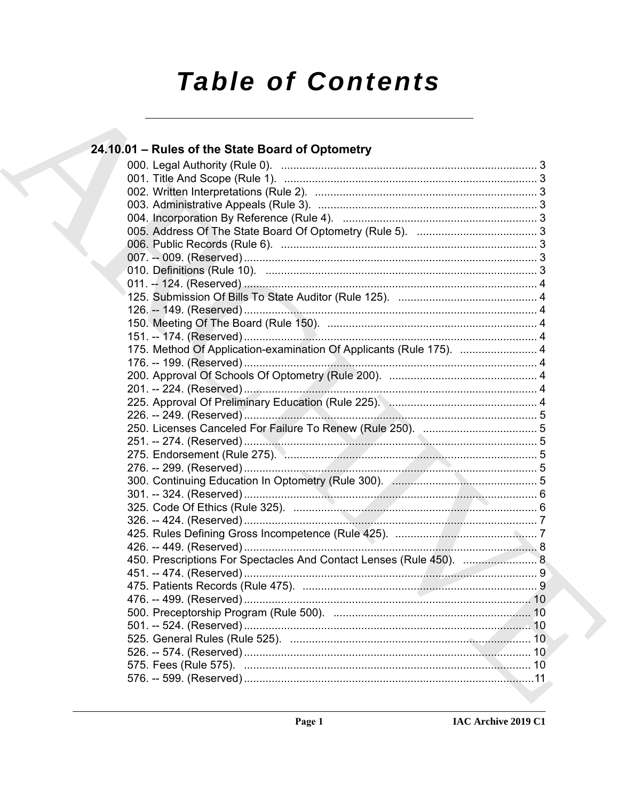# **Table of Contents**

### 24.10.01 – Rules of the State Board of Optometry 175. Method Of Application-examination Of Applicants (Rule 175). ................................ 4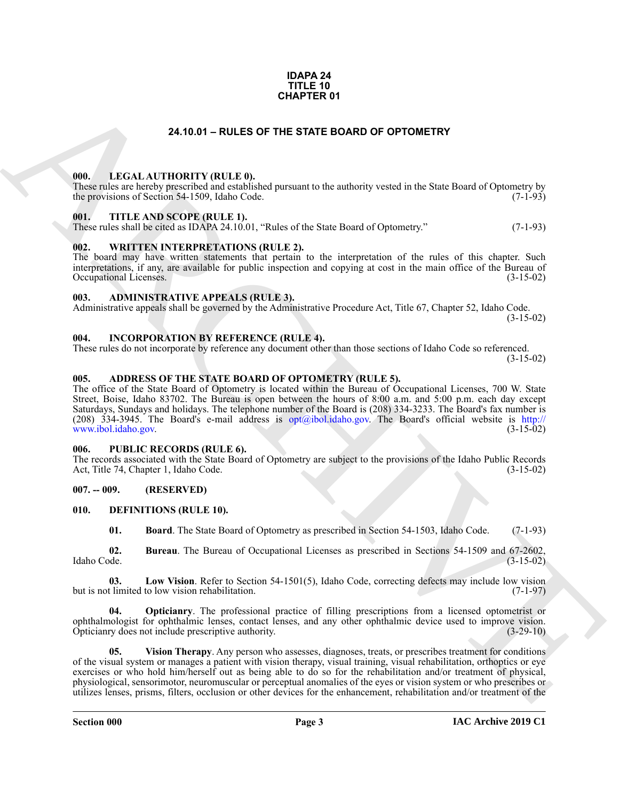#### **IDAPA 24 TITLE 10 CHAPTER 01**

#### **24.10.01 – RULES OF THE STATE BOARD OF OPTOMETRY**

#### <span id="page-2-19"></span><span id="page-2-1"></span><span id="page-2-0"></span>**000. LEGAL AUTHORITY (RULE 0).**

These rules are hereby prescribed and established pursuant to the authority vested in the State Board of Optometry by the provisions of Section 54-1509, Idaho Code.

#### <span id="page-2-21"></span><span id="page-2-2"></span>**001. TITLE AND SCOPE (RULE 1).**

These rules shall be cited as IDAPA 24.10.01, "Rules of the State Board of Optometry." (7-1-93)

#### <span id="page-2-22"></span><span id="page-2-3"></span>**002. WRITTEN INTERPRETATIONS (RULE 2).**

The board may have written statements that pertain to the interpretation of the rules of this chapter. Such interpretations, if any, are available for public inspection and copying at cost in the main office of the Bureau of Occupational Licenses. (3-15-02) Occupational Licenses.

#### <span id="page-2-11"></span><span id="page-2-4"></span>**003. ADMINISTRATIVE APPEALS (RULE 3).**

Administrative appeals shall be governed by the Administrative Procedure Act, Title 67, Chapter 52, Idaho Code. (3-15-02)

#### <span id="page-2-18"></span><span id="page-2-5"></span>**004. INCORPORATION BY REFERENCE (RULE 4).**

These rules do not incorporate by reference any document other than those sections of Idaho Code so referenced. (3-15-02)

#### <span id="page-2-10"></span><span id="page-2-6"></span>**005. ADDRESS OF THE STATE BOARD OF OPTOMETRY (RULE 5).**

**[CH](mailto:opt@ibol.idaho.gov)APTER 01**<br> **CHARCHIVE CONFIDENTY (RULLE 6)**<br> **CHARCHIVE CONFIDENTY (RULE 6)**<br> **CHARCHIVE CONFIDENTY (RULE 6)**<br> **CHARCHIVE CONFIDENTIAL CHARCHIVE CONFIDENTIAL CHARCHIVE CONFIDENTIAL CHARCHIVE CONFIDENTIAL CHARCHIVE CONF** The office of the State Board of Optometry is located within the Bureau of Occupational Licenses, 700 W. State Street, Boise, Idaho 83702. The Bureau is open between the hours of 8:00 a.m. and 5:00 p.m. each day except Saturdays, Sundays and holidays. The telephone number of the Board is (208) 334-3233. The Board's fax number is (208) 334-3945. The Board's e-mail address is  $opt(aibol.idaho.gov)$ . The Board's official website is http:// www.ibol.idaho.gov. (3-15-02)

#### <span id="page-2-20"></span><span id="page-2-7"></span>**006. PUBLIC RECORDS (RULE 6).**

The records associated with the State Board of Optometry are subject to the provisions of the Idaho Public Records Act, Title 74, Chapter 1, Idaho Code. (3-15-02)

#### <span id="page-2-8"></span>**007. -- 009. (RESERVED)**

#### <span id="page-2-9"></span>**010. DEFINITIONS (RULE 10).**

<span id="page-2-15"></span><span id="page-2-14"></span><span id="page-2-13"></span><span id="page-2-12"></span>**01. Board**. The State Board of Optometry as prescribed in Section 54-1503, Idaho Code. (7-1-93)

**02. Bureau**. The Bureau of Occupational Licenses as prescribed in Sections 54-1509 and 67-2602, Idaho Code. (3-15-02)

**03. Low Vision**. Refer to Section 54-1501(5), Idaho Code, correcting defects may include low vision but is not limited to low vision rehabilitation. (7-1-97)

<span id="page-2-16"></span>**04. Opticianry**. The professional practice of filling prescriptions from a licensed optometrist or ophthalmologist for ophthalmic lenses, contact lenses, and any other ophthalmic device used to improve vision. Opticianry does not include prescriptive authority. (3-29-10)

<span id="page-2-17"></span>**05. Vision Therapy**. Any person who assesses, diagnoses, treats, or prescribes treatment for conditions of the visual system or manages a patient with vision therapy, visual training, visual rehabilitation, orthoptics or eye exercises or who hold him/herself out as being able to do so for the rehabilitation and/or treatment of physical, physiological, sensorimotor, neuromuscular or perceptual anomalies of the eyes or vision system or who prescribes or utilizes lenses, prisms, filters, occlusion or other devices for the enhancement, rehabilitation and/or treatment of the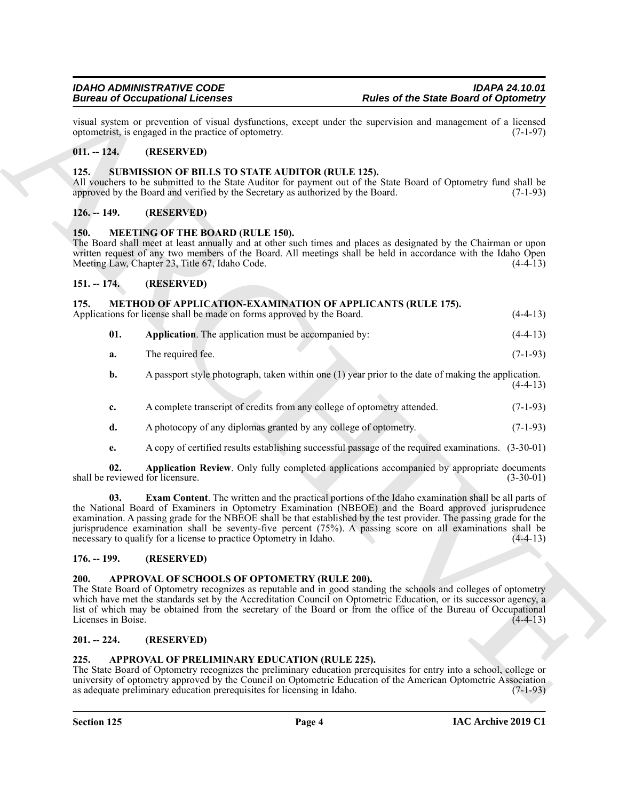#### <span id="page-3-0"></span>**011. -- 124. (RESERVED)**

#### <span id="page-3-17"></span><span id="page-3-1"></span>**125. SUBMISSION OF BILLS TO STATE AUDITOR (RULE 125).**

#### <span id="page-3-2"></span>**126. -- 149. (RESERVED)**

#### <span id="page-3-12"></span><span id="page-3-3"></span>**150. MEETING OF THE BOARD (RULE 150).**

#### <span id="page-3-14"></span><span id="page-3-13"></span><span id="page-3-5"></span><span id="page-3-4"></span>**151. -- 174. (RESERVED)**

|                                   | <b>Bureau of Occupational Licenses</b>                                                                                                       | <b>Rules of the State Board of Optometry</b>                                                                                                                                                                                                                                                                                                                                                                                                        |             |
|-----------------------------------|----------------------------------------------------------------------------------------------------------------------------------------------|-----------------------------------------------------------------------------------------------------------------------------------------------------------------------------------------------------------------------------------------------------------------------------------------------------------------------------------------------------------------------------------------------------------------------------------------------------|-------------|
|                                   | optometrist, is engaged in the practice of optometry.                                                                                        | visual system or prevention of visual dysfunctions, except under the supervision and management of a licensed                                                                                                                                                                                                                                                                                                                                       | $(7-1-97)$  |
| $011. - 124.$                     | (RESERVED)                                                                                                                                   |                                                                                                                                                                                                                                                                                                                                                                                                                                                     |             |
| 125.                              | SUBMISSION OF BILLS TO STATE AUDITOR (RULE 125).<br>approved by the Board and verified by the Secretary as authorized by the Board.          | All vouchers to be submitted to the State Auditor for payment out of the State Board of Optometry fund shall be                                                                                                                                                                                                                                                                                                                                     | $(7-1-93)$  |
| $126. - 149.$                     | (RESERVED)                                                                                                                                   |                                                                                                                                                                                                                                                                                                                                                                                                                                                     |             |
| <b>150.</b>                       | <b>MEETING OF THE BOARD (RULE 150).</b><br>Meeting Law, Chapter 23, Title 67, Idaho Code.                                                    | The Board shall meet at least annually and at other such times and places as designated by the Chairman or upon<br>written request of any two members of the Board. All meetings shall be held in accordance with the Idaho Open                                                                                                                                                                                                                    | $(4-4-13)$  |
| $151. - 174.$                     | (RESERVED)                                                                                                                                   |                                                                                                                                                                                                                                                                                                                                                                                                                                                     |             |
| 175.                              | <b>METHOD OF APPLICATION-EXAMINATION OF APPLICANTS (RULE 175).</b><br>Applications for license shall be made on forms approved by the Board. |                                                                                                                                                                                                                                                                                                                                                                                                                                                     | $(4-4-13)$  |
| 01.                               | Application. The application must be accompanied by:                                                                                         |                                                                                                                                                                                                                                                                                                                                                                                                                                                     | $(4-4-13)$  |
| a.                                | The required fee.                                                                                                                            |                                                                                                                                                                                                                                                                                                                                                                                                                                                     | $(7-1-93)$  |
| b.                                |                                                                                                                                              | A passport style photograph, taken within one (1) year prior to the date of making the application.                                                                                                                                                                                                                                                                                                                                                 | $(4-4-13)$  |
| c.                                | A complete transcript of credits from any college of optometry attended.                                                                     |                                                                                                                                                                                                                                                                                                                                                                                                                                                     | $(7-1-93)$  |
| d.                                | A photocopy of any diplomas granted by any college of optometry.                                                                             |                                                                                                                                                                                                                                                                                                                                                                                                                                                     | $(7-1-93)$  |
| e.                                |                                                                                                                                              | A copy of certified results establishing successful passage of the required examinations. (3-30-01)                                                                                                                                                                                                                                                                                                                                                 |             |
| 02.                               | shall be reviewed for licensure.                                                                                                             | Application Review. Only fully completed applications accompanied by appropriate documents                                                                                                                                                                                                                                                                                                                                                          | $(3-30-01)$ |
| 03.                               | necessary to qualify for a license to practice Optometry in Idaho.                                                                           | Exam Content. The written and the practical portions of the Idaho examination shall be all parts of<br>the National Board of Examiners in Optometry Examination (NBEOE) and the Board approved jurisprudence<br>examination. A passing grade for the NBEOE shall be that established by the test provider. The passing grade for the<br>jurisprudence examination shall be seventy-five percent (75%). A passing score on all examinations shall be | $(4-4-13)$  |
| $176. - 199.$                     | (RESERVED)                                                                                                                                   |                                                                                                                                                                                                                                                                                                                                                                                                                                                     |             |
| <b>200.</b><br>Licenses in Boise. | APPROVAL OF SCHOOLS OF OPTOMETRY (RULE 200).                                                                                                 | The State Board of Optometry recognizes as reputable and in good standing the schools and colleges of optometry<br>which have met the standards set by the Accreditation Council on Optometric Education, or its successor agency, a<br>list of which may be obtained from the secretary of the Board or from the office of the Bureau of Occupational                                                                                              | $(4-4-13)$  |
| $201. - 224.$                     | (RESERVED)                                                                                                                                   |                                                                                                                                                                                                                                                                                                                                                                                                                                                     |             |
| 225.                              | APPROVAL OF PRELIMINARY EDUCATION (RULE 225).<br>as adequate preliminary education prerequisites for licensing in Idaho.                     | The State Board of Optometry recognizes the preliminary education prerequisites for entry into a school, college or<br>university of optometry approved by the Council on Optometric Education of the American Optometric Association                                                                                                                                                                                                               | $(7-1-93)$  |
|                                   |                                                                                                                                              |                                                                                                                                                                                                                                                                                                                                                                                                                                                     |             |

#### <span id="page-3-16"></span><span id="page-3-15"></span><span id="page-3-6"></span>**176. -- 199. (RESERVED)**

#### <span id="page-3-11"></span><span id="page-3-7"></span>**200. APPROVAL OF SCHOOLS OF OPTOMETRY (RULE 200).**

#### <span id="page-3-8"></span>**201. -- 224. (RESERVED)**

#### <span id="page-3-10"></span><span id="page-3-9"></span>**225. APPROVAL OF PRELIMINARY EDUCATION (RULE 225).**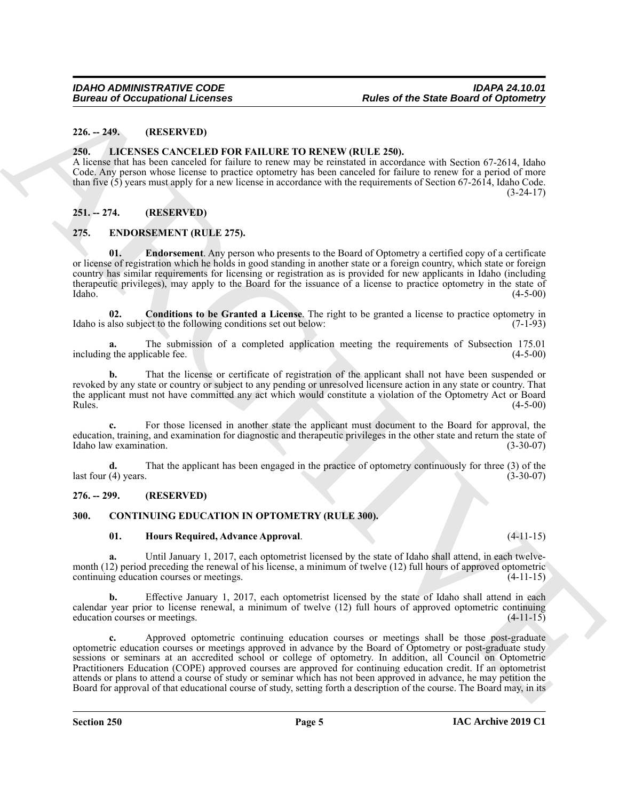#### <span id="page-4-0"></span>**226. -- 249. (RESERVED)**

#### <span id="page-4-11"></span><span id="page-4-1"></span>**250. LICENSES CANCELED FOR FAILURE TO RENEW (RULE 250).**

A license that has been canceled for failure to renew may be reinstated in accordance with Section 67-2614, Idaho Code. Any person whose license to practice optometry has been canceled for failure to renew for a period of more than five (5) years must apply for a new license in accordance with the requirements of Section 67-2614, Idaho Code.  $(3-24-17)$ 

#### <span id="page-4-2"></span>**251. -- 274. (RESERVED)**

#### <span id="page-4-8"></span><span id="page-4-3"></span>**275. ENDORSEMENT (RULE 275).**

<span id="page-4-10"></span>**01. Endorsement**. Any person who presents to the Board of Optometry a certified copy of a certificate or license of registration which he holds in good standing in another state or a foreign country, which state or foreign country has similar requirements for licensing or registration as is provided for new applicants in Idaho (including therapeutic privileges), may apply to the Board for the issuance of a license to practice optometry in the state of Idaho. (4-5-00)

<span id="page-4-9"></span>**02. Conditions to be Granted a License**. The right to be granted a license to practice optometry in Idaho is also subject to the following conditions set out below: (7-1-93)

**a.** The submission of a completed application meeting the requirements of Subsection 175.01 including the applicable fee. (4-5-00)

**b.** That the license or certificate of registration of the applicant shall not have been suspended or revoked by any state or country or subject to any pending or unresolved licensure action in any state or country. That the applicant must not have committed any act which would constitute a violation of the Optometry Act or Board<br>Rules. (4-5-00)  $Rules.$  (4-5-00)

**c.** For those licensed in another state the applicant must document to the Board for approval, the education, training, and examination for diagnostic and therapeutic privileges in the other state and return the state of Idaho law examination. (3-30-07)

**d.** That the applicant has been engaged in the practice of optometry continuously for three (3) of the  $\text{last four (4) years.}$  (3-30-07)

#### <span id="page-4-4"></span>**276. -- 299. (RESERVED)**

#### <span id="page-4-5"></span>**300. CONTINUING EDUCATION IN OPTOMETRY (RULE 300).**

#### <span id="page-4-7"></span><span id="page-4-6"></span>**01. Hours Required, Advance Approval**. (4-11-15)

**a.** Until January 1, 2017, each optometrist licensed by the state of Idaho shall attend, in each twelvemonth (12) period preceding the renewal of his license, a minimum of twelve (12) full hours of approved optometric continuing education courses or meetings. (4-11-15) continuing education courses or meetings.

**b.** Effective January 1, 2017, each optometrist licensed by the state of Idaho shall attend in each calendar year prior to license renewal, a minimum of twelve (12) full hours of approved optometric continuing education courses or meetings. (4-11-15) education courses or meetings.

ARCHIVE **c.** Approved optometric continuing education courses or meetings shall be those post-graduate optometric education courses or meetings approved in advance by the Board of Optometry or post-graduate study sessions or seminars at an accredited school or college of optometry. In addition, all Council on Optometric Practitioners Education (COPE) approved courses are approved for continuing education credit. If an optometrist attends or plans to attend a course of study or seminar which has not been approved in advance, he may petition the Board for approval of that educational course of study, setting forth a description of the course. The Board may, in its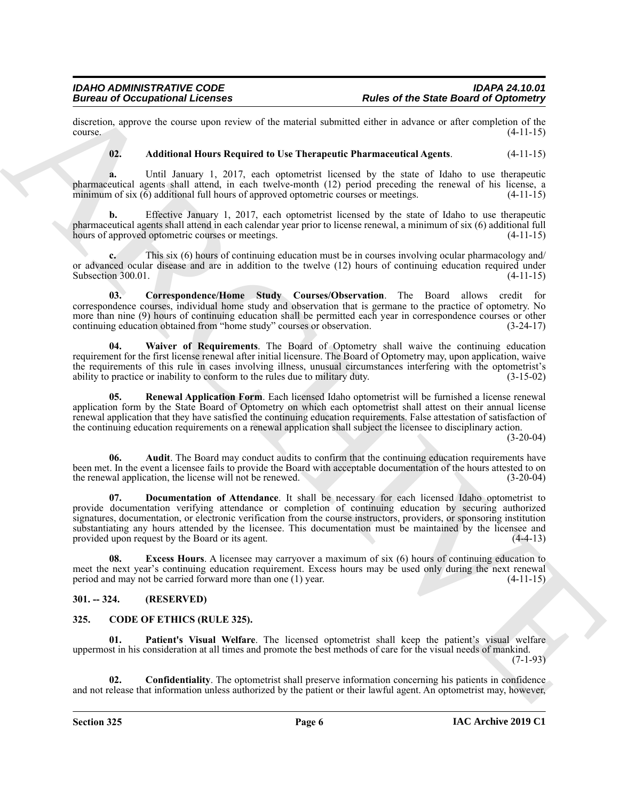discretion, approve the course upon review of the material submitted either in advance or after completion of the course. (4-11-15)  $\frac{1}{4}$  (4-11-15)

#### <span id="page-5-5"></span>**02. Additional Hours Required to Use Therapeutic Pharmaceutical Agents**. (4-11-15)

**a.** Until January 1, 2017, each optometrist licensed by the state of Idaho to use therapeutic pharmaceutical agents shall attend, in each twelve-month (12) period preceding the renewal of his license, a minimum of six (6) additional full hours of approved optometric courses or meetings. (4-11-15) minimum of six  $(6)$  additional full hours of approved optometric courses or meetings.

**b.** Effective January 1, 2017, each optometrist licensed by the state of Idaho to use therapeutic pharmaceutical agents shall attend in each calendar year prior to license renewal, a minimum of six (6) additional full hours of approved optometric courses or meetings. (4-11-15)

**c.** This six (6) hours of continuing education must be in courses involving ocular pharmacology and/ or advanced ocular disease and are in addition to the twelve (12) hours of continuing education required under Subsection 300.01.  $(4-11-15)$ 

<span id="page-5-7"></span>**03. Correspondence/Home Study Courses/Observation**. The Board allows credit for correspondence courses, individual home study and observation that is germane to the practice of optometry. No more than nine (9) hours of continuing education shall be permitted each year in correspondence courses or other continuing education obtained from "home study" courses or observation. (3-24-17)

<span id="page-5-11"></span>**04. Waiver of Requirements**. The Board of Optometry shall waive the continuing education requirement for the first license renewal after initial licensure. The Board of Optometry may, upon application, waive the requirements of this rule in cases involving illness, unusual circumstances interfering with the optometrist's ability to practice or inability to conform to the rules due to military duty.  $(3-15-02)$ ability to practice or inability to conform to the rules due to military duty.

<span id="page-5-10"></span>**05. Renewal Application Form**. Each licensed Idaho optometrist will be furnished a license renewal application form by the State Board of Optometry on which each optometrist shall attest on their annual license renewal application that they have satisfied the continuing education requirements. False attestation of satisfaction of the continuing education requirements on a renewal application shall subject the licensee to disciplinary action.

 $(3-20-04)$ 

<span id="page-5-8"></span><span id="page-5-6"></span>**06. Audit**. The Board may conduct audits to confirm that the continuing education requirements have been met. In the event a licensee fails to provide the Board with acceptable documentation of the hours attested to on the renewal application, the license will not be renewed. (3-20-04)

Butter of the Companional Lebennes<br>
discussions of the State Butter of the State Butter of March 2018 and the State Butter of the Companional Lebennes<br>
discussions of the State Butter of the Companion Research March 2018 **07. Documentation of Attendance**. It shall be necessary for each licensed Idaho optometrist to provide documentation verifying attendance or completion of continuing education by securing authorized signatures, documentation, or electronic verification from the course instructors, providers, or sponsoring institution substantiating any hours attended by the licensee. This documentation must be maintained by the licensee and provided upon request by the Board or its agent. (4-4-13) provided upon request by the Board or its agent.

<span id="page-5-9"></span>**08.** Excess Hours. A licensee may carryover a maximum of six (6) hours of continuing education to meet the next year's continuing education requirement. Excess hours may be used only during the next renewal period and may not be carried forward more than one (1) year. (4-11-15)

#### <span id="page-5-0"></span>**301. -- 324. (RESERVED)**

#### <span id="page-5-2"></span><span id="page-5-1"></span>**325. CODE OF ETHICS (RULE 325).**

<span id="page-5-4"></span>Patient's Visual Welfare. The licensed optometrist shall keep the patient's visual welfare uppermost in his consideration at all times and promote the best methods of care for the visual needs of mankind.  $(7-1-93)$ 

<span id="page-5-3"></span>**02. Confidentiality**. The optometrist shall preserve information concerning his patients in confidence and not release that information unless authorized by the patient or their lawful agent. An optometrist may, however,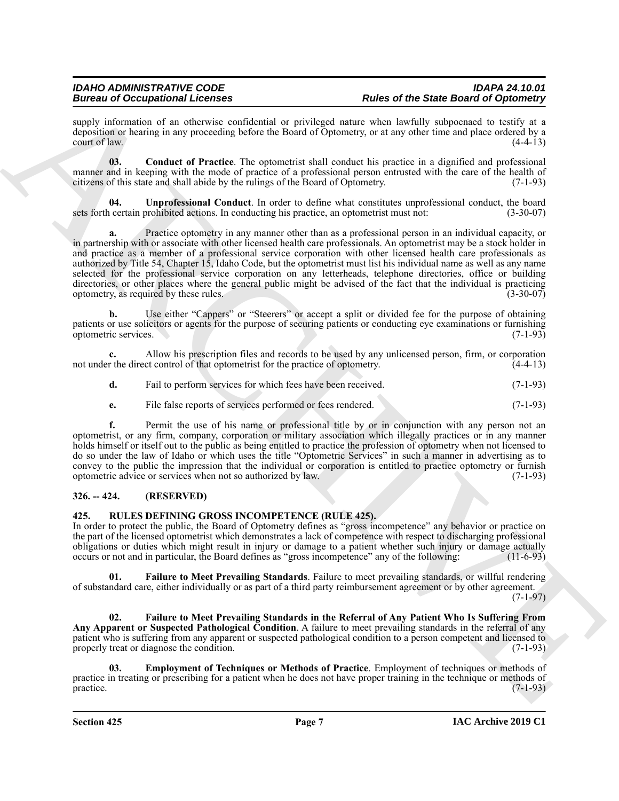supply information of an otherwise confidential or privileged nature when lawfully subpoenaed to testify at a deposition or hearing in any proceeding before the Board of Optometry, or at any other time and place ordered by a court of law.  $(4-4-13)$ 

<span id="page-6-2"></span>**03. Conduct of Practice**. The optometrist shall conduct his practice in a dignified and professional manner and in keeping with the mode of practice of a professional person entrusted with the care of the health of citizens of this state and shall abide by the rulings of the Board of Optometry. (7-1-93) citizens of this state and shall abide by the rulings of the Board of Optometry.

<span id="page-6-3"></span>**04. Unprofessional Conduct**. In order to define what constitutes unprofessional conduct, the board sets forth certain prohibited actions. In conducting his practice, an optometrist must not: (3-30-07)

Brain and Occupation all the new York shares are placed and the other of the Share Board of Diposite<br>
argue in the state of the state of the state of the state of the state of the state of the state of the state of the st **a.** Practice optometry in any manner other than as a professional person in an individual capacity, or in partnership with or associate with other licensed health care professionals. An optometrist may be a stock holder in and practice as a member of a professional service corporation with other licensed health care professionals as authorized by Title 54, Chapter 15, Idaho Code, but the optometrist must list his individual name as well as any name selected for the professional service corporation on any letterheads, telephone directories, office or building directories, or other places where the general public might be advised of the fact that the individual is practicing optometry, as required by these rules. (3-30-07)

**b.** Use either "Cappers" or "Steerers" or accept a split or divided fee for the purpose of obtaining patients or use solicitors or agents for the purpose of securing patients or conducting eye examinations or furnishing optometric services. (7-1-93) optometric services.

**c.** Allow his prescription files and records to be used by any unlicensed person, firm, or corporation not under the direct control of that optometrist for the practice of optometry. (4-4-13)

|  | Fail to perform services for which fees have been received. | $(7-1-93)$ |
|--|-------------------------------------------------------------|------------|
|--|-------------------------------------------------------------|------------|

**e.** File false reports of services performed or fees rendered. (7-1-93)

**f.** Permit the use of his name or professional title by or in conjunction with any person not an optometrist, or any firm, company, corporation or military association which illegally practices or in any manner holds himself or itself out to the public as being entitled to practice the profession of optometry when not licensed to do so under the law of Idaho or which uses the title "Optometric Services" in such a manner in advertising as to convey to the public the impression that the individual or corporation is entitled to practice optometry or furnish optometric advice or services when not so authorized by law. (7-1-93)

#### <span id="page-6-0"></span>**326. -- 424. (RESERVED)**

#### <span id="page-6-4"></span><span id="page-6-1"></span>**425. RULES DEFINING GROSS INCOMPETENCE (RULE 425).**

In order to protect the public, the Board of Optometry defines as "gross incompetence" any behavior or practice on the part of the licensed optometrist which demonstrates a lack of competence with respect to discharging professional obligations or duties which might result in injury or damage to a patient whether such injury or damage actually occurs or not and in particular, the Board defines as "gross incompetence" any of the following: (11-6-93)

<span id="page-6-6"></span>**01. Failure to Meet Prevailing Standards**. Failure to meet prevailing standards, or willful rendering of substandard care, either individually or as part of a third party reimbursement agreement or by other agreement.

(7-1-97)

<span id="page-6-7"></span>**02. Failure to Meet Prevailing Standards in the Referral of Any Patient Who Is Suffering From Any Apparent or Suspected Pathological Condition**. A failure to meet prevailing standards in the referral of any patient who is suffering from any apparent or suspected pathological condition to a person competent and licensed to properly treat or diagnose the condition. (7-1-93)

<span id="page-6-5"></span>**03. Employment of Techniques or Methods of Practice**. Employment of techniques or methods of practice in treating or prescribing for a patient when he does not have proper training in the technique or methods of practice. (7-1-93)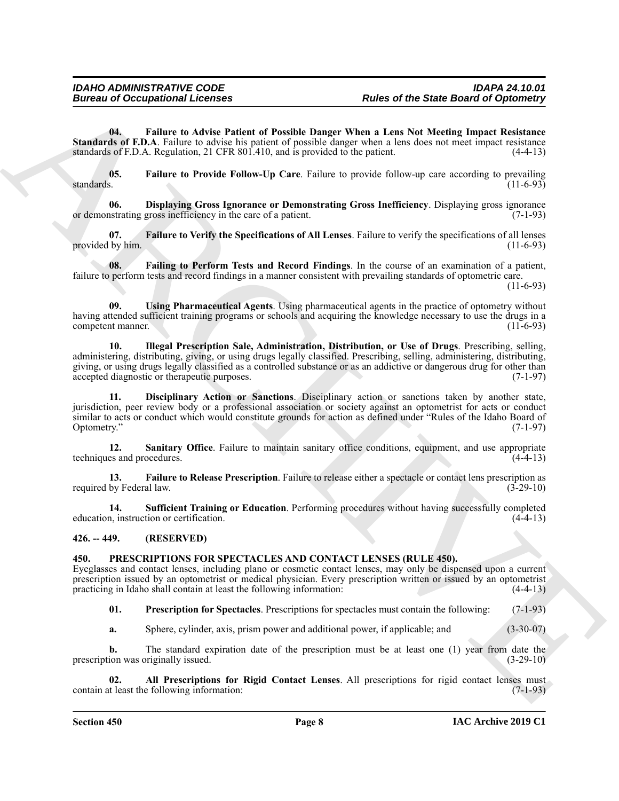<span id="page-7-8"></span>**04. Failure to Advise Patient of Possible Danger When a Lens Not Meeting Impact Resistance Standards of F.D.A**. Failure to advise his patient of possible danger when a lens does not meet impact resistance standards of F.D.A. Regulation, 21 CFR 801.410, and is provided to the patient. standards of F.D.A. Regulation,  $21$  CFR  $801.410$ , and is provided to the patient.

<span id="page-7-9"></span>**05. Failure to Provide Follow-Up Care**. Failure to provide follow-up care according to prevailing standards. (11-6-93)

<span id="page-7-6"></span>**06. Displaying Gross Ignorance or Demonstrating Gross Inefficiency**. Displaying gross ignorance or demonstrating gross inefficiency in the care of a patient. (7-1-93)

<span id="page-7-11"></span>**07. Failure to Verify the Specifications of All Lenses**. Failure to verify the specifications of all lenses provided by him.  $(11-6-93)$ 

<span id="page-7-7"></span>**08. Failing to Perform Tests and Record Findings**. In the course of an examination of a patient, failure to perform tests and record findings in a manner consistent with prevailing standards of optometric care.

(11-6-93)

<span id="page-7-15"></span><span id="page-7-12"></span>**09. Using Pharmaceutical Agents**. Using pharmaceutical agents in the practice of optometry without having attended sufficient training programs or schools and acquiring the knowledge necessary to use the drugs in a competent manner. (11-6-93)

**Europea of Occupational Licenses**<br> **Europea of the State Board of Designational Licenses**<br> **State of the Matter behavior by the Matter of Designation Europea of the Matter International Control Control Control Control Co 10. Illegal Prescription Sale, Administration, Distribution, or Use of Drugs**. Prescribing, selling, administering, distributing, giving, or using drugs legally classified. Prescribing, selling, administering, distributing, giving, or using drugs legally classified as a controlled substance or as an addictive or dangerous drug for other than accepted diagnostic or therapeutic purposes. accepted diagnostic or therapeutic purposes.

<span id="page-7-5"></span>**11. Disciplinary Action or Sanctions**. Disciplinary action or sanctions taken by another state, jurisdiction, peer review body or a professional association or society against an optometrist for acts or conduct similar to acts or conduct which would constitute grounds for action as defined under "Rules of the Idaho Board of Optometry." (7-1-97)

<span id="page-7-13"></span>**12. Sanitary Office**. Failure to maintain sanitary office conditions, equipment, and use appropriate techniques and procedures. (4-4-13)

<span id="page-7-10"></span>**13. Failure to Release Prescription**. Failure to release either a spectacle or contact lens prescription as required by Federal law. (3-29-10)

<span id="page-7-14"></span>**14. Sufficient Training or Education**. Performing procedures without having successfully completed education, instruction or certification. (4-4-13)

<span id="page-7-0"></span>**426. -- 449. (RESERVED)**

#### <span id="page-7-2"></span><span id="page-7-1"></span>**450. PRESCRIPTIONS FOR SPECTACLES AND CONTACT LENSES (RULE 450).**

Eyeglasses and contact lenses, including plano or cosmetic contact lenses, may only be dispensed upon a current prescription issued by an optometrist or medical physician. Every prescription written or issued by an optometrist practicing in Idaho shall contain at least the following information: (4-4-13)

<span id="page-7-4"></span>**01. Prescription for Spectacles**. Prescriptions for spectacles must contain the following: (7-1-93)

<span id="page-7-3"></span>**a.** Sphere, cylinder, axis, prism power and additional power, if applicable; and (3-30-07)

**b.** The standard expiration date of the prescription must be at least one (1) year from date the prescription was originally issued. (3-29-10)

**02. All Prescriptions for Rigid Contact Lenses**. All prescriptions for rigid contact lenses must contain at least the following information: (7-1-93)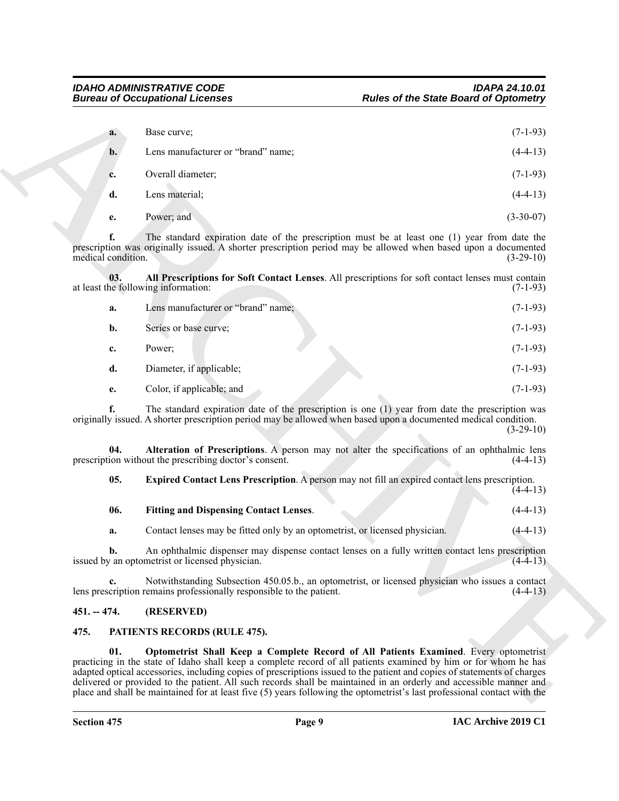<span id="page-8-4"></span>

| a. | Base curve;                        | $(7-1-93)$  |
|----|------------------------------------|-------------|
| b. | Lens manufacturer or "brand" name; | $(4-4-13)$  |
| c. | Overall diameter;                  | $(7-1-93)$  |
| d. | Lens material;                     | $(4-4-13)$  |
| e. | Power; and                         | $(3-30-07)$ |

|                          | <b>Bureau of Occupational Licenses</b>                                      | <b>Rules of the State Board of Optometry</b>                                                                                                                                                                                                                                                                                                                                                                                                                                                                                                                                           |
|--------------------------|-----------------------------------------------------------------------------|----------------------------------------------------------------------------------------------------------------------------------------------------------------------------------------------------------------------------------------------------------------------------------------------------------------------------------------------------------------------------------------------------------------------------------------------------------------------------------------------------------------------------------------------------------------------------------------|
| a.                       | Base curve;                                                                 | $(7-1-93)$                                                                                                                                                                                                                                                                                                                                                                                                                                                                                                                                                                             |
| $\mathbf{b}$ .           | Lens manufacturer or "brand" name;                                          | $(4-4-13)$                                                                                                                                                                                                                                                                                                                                                                                                                                                                                                                                                                             |
| c.                       | Overall diameter;                                                           | $(7-1-93)$                                                                                                                                                                                                                                                                                                                                                                                                                                                                                                                                                                             |
| d.                       | Lens material;                                                              | $(4-4-13)$                                                                                                                                                                                                                                                                                                                                                                                                                                                                                                                                                                             |
| e.                       | Power; and                                                                  | $(3-30-07)$                                                                                                                                                                                                                                                                                                                                                                                                                                                                                                                                                                            |
| f.<br>medical condition. |                                                                             | The standard expiration date of the prescription must be at least one (1) year from date the<br>prescription was originally issued. A shorter prescription period may be allowed when based upon a documented<br>$(3-29-10)$                                                                                                                                                                                                                                                                                                                                                           |
| 03.                      | at least the following information:                                         | All Prescriptions for Soft Contact Lenses. All prescriptions for soft contact lenses must contain<br>$(7-1-93)$                                                                                                                                                                                                                                                                                                                                                                                                                                                                        |
| a.                       | Lens manufacturer or "brand" name;                                          | $(7-1-93)$                                                                                                                                                                                                                                                                                                                                                                                                                                                                                                                                                                             |
| $\mathbf{b}$ .           | Series or base curve;                                                       | $(7-1-93)$                                                                                                                                                                                                                                                                                                                                                                                                                                                                                                                                                                             |
| c.                       | Power;                                                                      | $(7-1-93)$                                                                                                                                                                                                                                                                                                                                                                                                                                                                                                                                                                             |
| d.                       | Diameter, if applicable;                                                    | $(7-1-93)$                                                                                                                                                                                                                                                                                                                                                                                                                                                                                                                                                                             |
| e.                       | Color, if applicable; and                                                   | $(7-1-93)$                                                                                                                                                                                                                                                                                                                                                                                                                                                                                                                                                                             |
| f.                       |                                                                             | The standard expiration date of the prescription is one (1) year from date the prescription was<br>originally issued. A shorter prescription period may be allowed when based upon a documented medical condition.<br>$(3-29-10)$                                                                                                                                                                                                                                                                                                                                                      |
| 04.                      | prescription without the prescribing doctor's consent.                      | Alteration of Prescriptions. A person may not alter the specifications of an ophthalmic lens<br>$(4-4-13)$                                                                                                                                                                                                                                                                                                                                                                                                                                                                             |
| 05.                      |                                                                             | Expired Contact Lens Prescription. A person may not fill an expired contact lens prescription.<br>$(4-4-13)$                                                                                                                                                                                                                                                                                                                                                                                                                                                                           |
| 06.                      | <b>Fitting and Dispensing Contact Lenses.</b>                               | $(4-4-13)$                                                                                                                                                                                                                                                                                                                                                                                                                                                                                                                                                                             |
| a.                       | Contact lenses may be fitted only by an optometrist, or licensed physician. | $(4-4-13)$                                                                                                                                                                                                                                                                                                                                                                                                                                                                                                                                                                             |
| b.                       | issued by an optometrist or licensed physician.                             | An ophthalmic dispenser may dispense contact lenses on a fully written contact lens prescription<br>$(4-4-13)$                                                                                                                                                                                                                                                                                                                                                                                                                                                                         |
|                          | lens prescription remains professionally responsible to the patient.        | Notwithstanding Subsection 450.05.b., an optometrist, or licensed physician who issues a contact<br>$(4-4-13)$                                                                                                                                                                                                                                                                                                                                                                                                                                                                         |
| $451. - 474.$            | (RESERVED)                                                                  |                                                                                                                                                                                                                                                                                                                                                                                                                                                                                                                                                                                        |
| 475.                     | PATIENTS RECORDS (RULE 475).                                                |                                                                                                                                                                                                                                                                                                                                                                                                                                                                                                                                                                                        |
| 01.                      |                                                                             | Optometrist Shall Keep a Complete Record of All Patients Examined. Every optometrist<br>practicing in the state of Idaho shall keep a complete record of all patients examined by him or for whom he has<br>adapted optical accessories, including copies of prescriptions issued to the patient and copies of statements of charges<br>delivered or provided to the patient. All such records shall be maintained in an orderly and accessible manner and<br>place and shall be maintained for at least five (5) years following the optometrist's last professional contact with the |

<span id="page-8-7"></span><span id="page-8-6"></span><span id="page-8-5"></span>

| -06. | <b>Fitting and Dispensing Contact Lenses.</b> |  | $(4-4-13)$ |
|------|-----------------------------------------------|--|------------|
|      |                                               |  |            |

#### <span id="page-8-0"></span>**451. -- 474. (RESERVED)**

#### <span id="page-8-3"></span><span id="page-8-2"></span><span id="page-8-1"></span>**475. PATIENTS RECORDS (RULE 475).**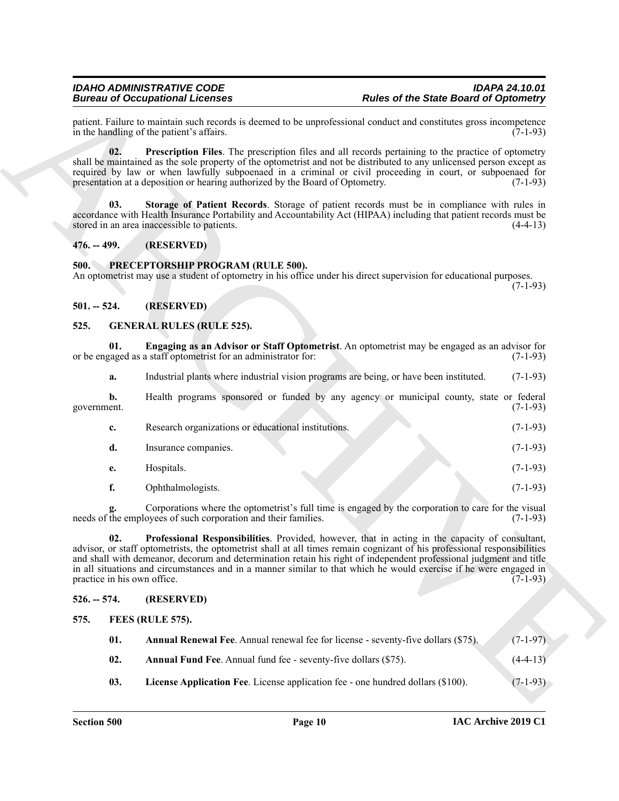#### <span id="page-9-14"></span><span id="page-9-13"></span><span id="page-9-0"></span>**476. -- 499. (RESERVED)**

#### <span id="page-9-15"></span><span id="page-9-1"></span>**500. PRECEPTORSHIP PROGRAM (RULE 500).**

#### <span id="page-9-2"></span>**501. -- 524. (RESERVED)**

#### <span id="page-9-11"></span><span id="page-9-10"></span><span id="page-9-3"></span>**525. GENERAL RULES (RULE 525).**

|                                    | <b>Bureau of Occupational Licenses</b>                                                                                                                                                                                                                                                                                                                                                                                                                                 | <b>Rules of the State Board of Optometry</b> |
|------------------------------------|------------------------------------------------------------------------------------------------------------------------------------------------------------------------------------------------------------------------------------------------------------------------------------------------------------------------------------------------------------------------------------------------------------------------------------------------------------------------|----------------------------------------------|
|                                    | patient. Failure to maintain such records is deemed to be unprofessional conduct and constitutes gross incompetence<br>in the handling of the patient's affairs.                                                                                                                                                                                                                                                                                                       | $(7-1-93)$                                   |
| 02.                                | Prescription Files. The prescription files and all records pertaining to the practice of optometry<br>shall be maintained as the sole property of the optometrist and not be distributed to any unlicensed person except as<br>required by law or when lawfully subpoenaed in a criminal or civil proceeding in court, or subpoenaed for<br>presentation at a deposition or hearing authorized by the Board of Optometry.                                              | $(7-1-93)$                                   |
| 03.                                | Storage of Patient Records. Storage of patient records must be in compliance with rules in<br>accordance with Health Insurance Portability and Accountability Act (HIPAA) including that patient records must be<br>stored in an area inaccessible to patients.                                                                                                                                                                                                        | $(4-4-13)$                                   |
| $476. - 499.$                      | (RESERVED)                                                                                                                                                                                                                                                                                                                                                                                                                                                             |                                              |
| 500.                               | PRECEPTORSHIP PROGRAM (RULE 500).<br>An optometrist may use a student of optometry in his office under his direct supervision for educational purposes.                                                                                                                                                                                                                                                                                                                | $(7-1-93)$                                   |
| $501. - 524.$                      | (RESERVED)                                                                                                                                                                                                                                                                                                                                                                                                                                                             |                                              |
| 525.                               | <b>GENERAL RULES (RULE 525).</b>                                                                                                                                                                                                                                                                                                                                                                                                                                       |                                              |
| 01.                                | Engaging as an Advisor or Staff Optometrist. An optometrist may be engaged as an advisor for<br>or be engaged as a staff optometrist for an administrator for:                                                                                                                                                                                                                                                                                                         | $(7-1-93)$                                   |
| a.                                 | Industrial plants where industrial vision programs are being, or have been instituted.                                                                                                                                                                                                                                                                                                                                                                                 | $(7-1-93)$                                   |
| b.<br>government.                  | Health programs sponsored or funded by any agency or municipal county, state or federal                                                                                                                                                                                                                                                                                                                                                                                | $(7-1-93)$                                   |
| c.                                 | Research organizations or educational institutions.                                                                                                                                                                                                                                                                                                                                                                                                                    | $(7-1-93)$                                   |
| d.                                 | Insurance companies.                                                                                                                                                                                                                                                                                                                                                                                                                                                   | $(7-1-93)$                                   |
| e.                                 | Hospitals.                                                                                                                                                                                                                                                                                                                                                                                                                                                             | $(7-1-93)$                                   |
| f.                                 | Ophthalmologists.                                                                                                                                                                                                                                                                                                                                                                                                                                                      | $(7-1-93)$                                   |
|                                    | Corporations where the optometrist's full time is engaged by the corporation to care for the visual<br>needs of the employees of such corporation and their families.                                                                                                                                                                                                                                                                                                  | $(7-1-93)$                                   |
| 02.<br>practice in his own office. | Professional Responsibilities. Provided, however, that in acting in the capacity of consultant,<br>advisor, or staff optometrists, the optometrist shall at all times remain cognizant of his professional responsibilities<br>and shall with demeanor, decorum and determination retain his right of independent professional judgment and title<br>in all situations and circumstances and in a manner similar to that which he would exercise if he were engaged in | $(7-1-93)$                                   |
| $526. - 574.$                      | (RESERVED)                                                                                                                                                                                                                                                                                                                                                                                                                                                             |                                              |
| 575.                               | FEES (RULE 575).                                                                                                                                                                                                                                                                                                                                                                                                                                                       |                                              |
| 01.                                | Annual Renewal Fee. Annual renewal fee for license - seventy-five dollars (\$75).                                                                                                                                                                                                                                                                                                                                                                                      | $(7-1-97)$                                   |
|                                    | Annual Fund Fee. Annual fund fee - seventy-five dollars (\$75).                                                                                                                                                                                                                                                                                                                                                                                                        | $(4-4-13)$                                   |
| 02.                                |                                                                                                                                                                                                                                                                                                                                                                                                                                                                        |                                              |

#### <span id="page-9-12"></span><span id="page-9-5"></span><span id="page-9-4"></span>**526. -- 574. (RESERVED)**

<span id="page-9-9"></span><span id="page-9-8"></span><span id="page-9-7"></span><span id="page-9-6"></span>

| 01. | <b>Annual Renewal Fee.</b> Annual renewal fee for license - seventy-five dollars (\$75). | $(7-1-97)$ |
|-----|------------------------------------------------------------------------------------------|------------|
| 02. | <b>Annual Fund Fee.</b> Annual fund fee - seventy-five dollars (\$75).                   | $(4-4-13)$ |
| 03. | License Application Fee. License application fee - one hundred dollars (\$100).          | $(7-1-93)$ |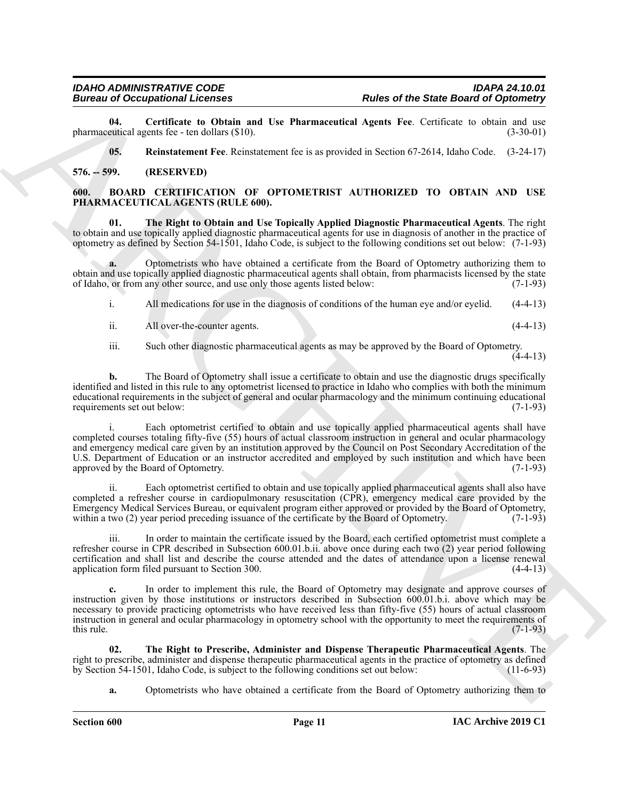**04. Certificate to Obtain and Use Pharmaceutical Agents Fee**. Certificate to obtain and use pharmaceutical agents fee - ten dollars  $(\$10)$ .

<span id="page-10-6"></span><span id="page-10-5"></span><span id="page-10-2"></span>**05. Reinstatement Fee**. Reinstatement fee is as provided in Section 67-2614, Idaho Code. (3-24-17)

#### <span id="page-10-0"></span>**576. -- 599. (RESERVED)**

#### <span id="page-10-1"></span>**600. BOARD CERTIFICATION OF OPTOMETRIST AUTHORIZED TO OBTAIN AND USE PHARMACEUTICAL AGENTS (RULE 600).**

<span id="page-10-3"></span>**01. The Right to Obtain and Use Topically Applied Diagnostic Pharmaceutical Agents**. The right to obtain and use topically applied diagnostic pharmaceutical agents for use in diagnosis of another in the practice of optometry as defined by Section 54-1501, Idaho Code, is subject to the following conditions set out below: (7-1-93)

**a.** Optometrists who have obtained a certificate from the Board of Optometry authorizing them to obtain and use topically applied diagnostic pharmaceutical agents shall obtain, from pharmacists licensed by the state of Idaho, or from any other source, and use only those agents listed below: (7-1-93) of Idaho, or from any other source, and use only those agents listed below:

i. All medications for use in the diagnosis of conditions of the human eye and/or eyelid. (4-4-13)

ii. All over-the-counter agents. (4-4-13)

iii. Such other diagnostic pharmaceutical agents as may be approved by the Board of Optometry.

 $(4-4-13)$ 

**b.** The Board of Optometry shall issue a certificate to obtain and use the diagnostic drugs specifically identified and listed in this rule to any optometrist licensed to practice in Idaho who complies with both the minimum educational requirements in the subject of general and ocular pharmacology and the minimum continuing educational requirements set out below: (7-1-93)

**Example of the Same Board of Constraint Constraint Constraint Constraint Constraint Constraint Constraint Constraint Constraint Constraint Constraint Constraint Constraint Constraint Constraint Constraint Constraint Cons** i. Each optometrist certified to obtain and use topically applied pharmaceutical agents shall have completed courses totaling fifty-five (55) hours of actual classroom instruction in general and ocular pharmacology and emergency medical care given by an institution approved by the Council on Post Secondary Accreditation of the U.S. Department of Education or an instructor accredited and employed by such institution and which have been approved by the Board of Optometry. (7-1-93) approved by the Board of Optometry.

Each optometrist certified to obtain and use topically applied pharmaceutical agents shall also have completed a refresher course in cardiopulmonary resuscitation (CPR), emergency medical care provided by the Emergency Medical Services Bureau, or equivalent program either approved or provided by the Board of Optometry, within a two (2) year period preceding issuance of the certificate by the Board of Optometry. (7-1-93)

iii. In order to maintain the certificate issued by the Board, each certified optometrist must complete a refresher course in CPR described in Subsection 600.01.b.ii. above once during each two (2) year period following certification and shall list and describe the course attended and the dates of attendance upon a license renewal application form filed pursuant to Section 300. (4-4-13)

**c.** In order to implement this rule, the Board of Optometry may designate and approve courses of instruction given by those institutions or instructors described in Subsection 600.01.b.i. above which may be necessary to provide practicing optometrists who have received less than fifty-five (55) hours of actual classroom instruction in general and ocular pharmacology in optometry school with the opportunity to meet the requirements of this rule.  $(7-1-93)$ 

**02. The Right to Prescribe, Administer and Dispense Therapeutic Pharmaceutical Agents**. The right to prescribe, administer and dispense therapeutic pharmaceutical agents in the practice of optometry as defined by Section 54-1501, Idaho Code, is subject to the following conditions set out below: (11-6-93)

<span id="page-10-4"></span>**a.** Optometrists who have obtained a certificate from the Board of Optometry authorizing them to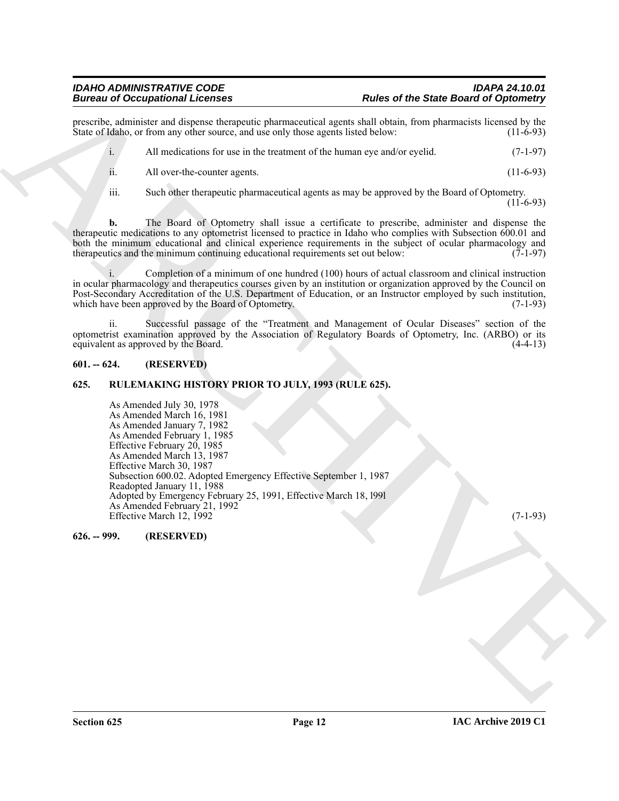prescribe, administer and dispense therapeutic pharmaceutical agents shall obtain, from pharmacists licensed by the State of Idaho, or from any other source, and use only those agents listed below: (11-6-93) State of Idaho, or from any other source, and use only those agents listed below:

i. All medications for use in the treatment of the human eye and/or eyelid. (7-1-97) ii. All over-the-counter agents. (11-6-93)

iii. Such other therapeutic pharmaceutical agents as may be approved by the Board of Optometry.

 $(11-6-93)$ 

**b.** The Board of Optometry shall issue a certificate to prescribe, administer and dispense the therapeutic medications to any optometrist licensed to practice in Idaho who complies with Subsection 600.01 and both the minimum educational and clinical experience requirements in the subject of ocular pharmacology and therapeutics and the minimum continuing educational requirements set out below: (7-1-97)

i. Completion of a minimum of one hundred (100) hours of actual classroom and clinical instruction in ocular pharmacology and therapeutics courses given by an institution or organization approved by the Council on Post-Secondary Accreditation of the U.S. Department of Education, or an Instructor employed by such institution, which have been approved by the Board of Optometry. (7-1-93)

ii. Successful passage of the "Treatment and Management of Ocular Diseases" section of the optometrist examination approved by the Association of Regulatory Boards of Optometry, Inc. (ARBO) or its equivalent as approved by the Board.

#### <span id="page-11-0"></span>**601. -- 624. (RESERVED)**

#### <span id="page-11-1"></span>**625. RULEMAKING HISTORY PRIOR TO JULY, 1993 (RULE 625).**

Bureau of Occupationistic Licenses<br>
Bureau of Licenses and Computer photographs of the state of the Same Board of Optionisty<br>
Source Chalge in the state of the state of the state of the state of the state of the state of As Amended July 30, 1978 As Amended March 16, 1981 As Amended January 7, 1982 As Amended February 1, 1985 Effective February 20, 1985 As Amended March 13, 1987 Effective March 30, 1987 Subsection 600.02. Adopted Emergency Effective September 1, 1987 Readopted January 11, 1988 Adopted by Emergency February 25, 1991, Effective March 18, l99l As Amended February 21, 1992 Effective March 12, 1992 (7-1-93)

<span id="page-11-2"></span>**626. -- 999. (RESERVED)**